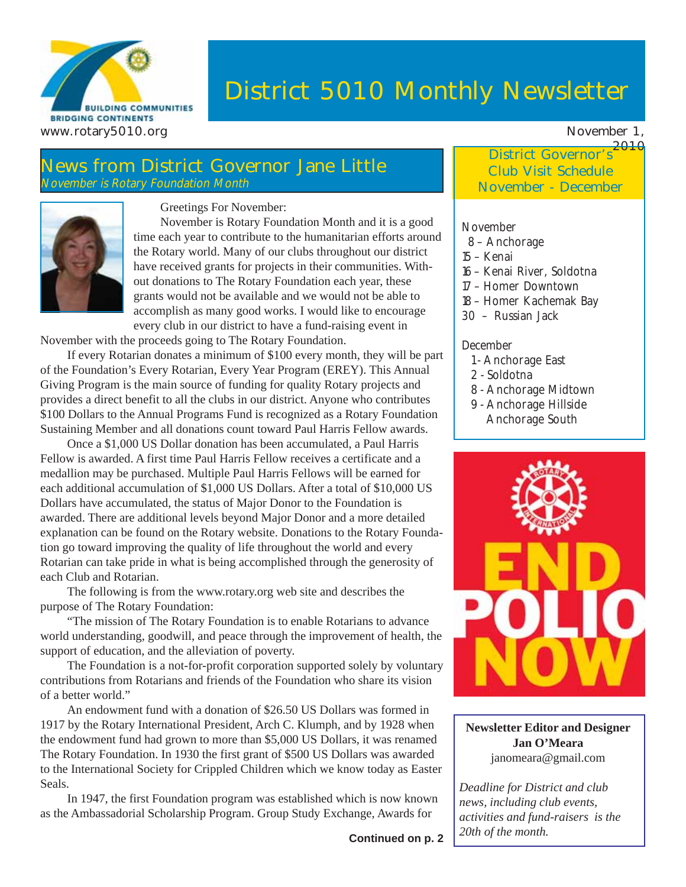

# **District 5010 Monthly Newsletter**

#### **News from District Governor Jane Little** November is Rotary Foundation Month



Greetings For November:

November is Rotary Foundation Month and it is a good time each year to contribute to the humanitarian efforts around the Rotary world. Many of our clubs throughout our district have received grants for projects in their communities. Without donations to The Rotary Foundation each year, these grants would not be available and we would not be able to accomplish as many good works. I would like to encourage every club in our district to have a fund-raising event in

November with the proceeds going to The Rotary Foundation.

If every Rotarian donates a minimum of \$100 every month, they will be part of the Foundation's Every Rotarian, Every Year Program (EREY). This Annual Giving Program is the main source of funding for quality Rotary projects and provides a direct benefit to all the clubs in our district. Anyone who contributes \$100 Dollars to the Annual Programs Fund is recognized as a Rotary Foundation Sustaining Member and all donations count toward Paul Harris Fellow awards.

Once a \$1,000 US Dollar donation has been accumulated, a Paul Harris Fellow is awarded. A first time Paul Harris Fellow receives a certificate and a medallion may be purchased. Multiple Paul Harris Fellows will be earned for each additional accumulation of \$1,000 US Dollars. After a total of \$10,000 US Dollars have accumulated, the status of Major Donor to the Foundation is awarded. There are additional levels beyond Major Donor and a more detailed explanation can be found on the Rotary website. Donations to the Rotary Foundation go toward improving the quality of life throughout the world and every Rotarian can take pride in what is being accomplished through the generosity of each Club and Rotarian.

The following is from the www.rotary.org web site and describes the purpose of The Rotary Foundation:

"The mission of The Rotary Foundation is to enable Rotarians to advance world understanding, goodwill, and peace through the improvement of health, the support of education, and the alleviation of poverty.

The Foundation is a not-for-profit corporation supported solely by voluntary contributions from Rotarians and friends of the Foundation who share its vision of a better world."

An endowment fund with a donation of \$26.50 US Dollars was formed in 1917 by the Rotary International President, Arch C. Klumph, and by 1928 when the endowment fund had grown to more than \$5,000 US Dollars, it was renamed The Rotary Foundation. In 1930 the first grant of \$500 US Dollars was awarded to the International Society for Crippled Children which we know today as Easter Seals.

In 1947, the first Foundation program was established which is now known as the Ambassadorial Scholarship Program. Group Study Exchange, Awards for

**2010 District Governor's Club Visit Schedule November - December**

#### November

- 8 Anchorage
- 15 Kenai
- 16 Kenai River, Soldotna
- 17 Homer Downtown
- 18 Homer Kachemak Bay
- 30 Russian Jack

#### December

- 1 Anchorage East
- 2 Soldotna
- 8 Anchorage Midtown
- 9 Anchorage Hillside Anchorage South



**Newsletter Editor and Designer Jan O'Meara** janomeara@gmail.com

*Deadline for District and club news, including club events, activities and fund-raisers is the 20th of the month.*

**Continued on p. 2**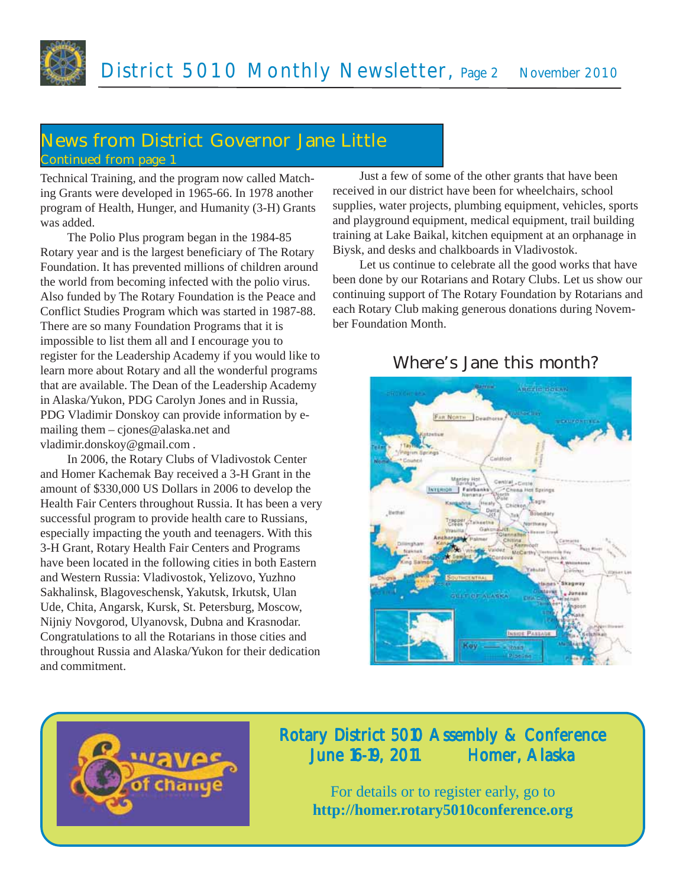

### **News from District Governor Jane Little Continued from page 1**

Technical Training, and the program now called Matching Grants were developed in 1965-66. In 1978 another program of Health, Hunger, and Humanity (3-H) Grants was added.

The Polio Plus program began in the 1984-85 Rotary year and is the largest beneficiary of The Rotary Foundation. It has prevented millions of children around the world from becoming infected with the polio virus. Also funded by The Rotary Foundation is the Peace and Conflict Studies Program which was started in 1987-88. There are so many Foundation Programs that it is impossible to list them all and I encourage you to register for the Leadership Academy if you would like to learn more about Rotary and all the wonderful programs that are available. The Dean of the Leadership Academy in Alaska/Yukon, PDG Carolyn Jones and in Russia, PDG Vladimir Donskoy can provide information by emailing them – cjones@alaska.net and vladimir.donskoy@gmail.com .

In 2006, the Rotary Clubs of Vladivostok Center and Homer Kachemak Bay received a 3-H Grant in the amount of \$330,000 US Dollars in 2006 to develop the Health Fair Centers throughout Russia. It has been a very successful program to provide health care to Russians, especially impacting the youth and teenagers. With this 3-H Grant, Rotary Health Fair Centers and Programs have been located in the following cities in both Eastern and Western Russia: Vladivostok, Yelizovo, Yuzhno Sakhalinsk, Blagoveschensk, Yakutsk, Irkutsk, Ulan Ude, Chita, Angarsk, Kursk, St. Petersburg, Moscow, Nijniy Novgorod, Ulyanovsk, Dubna and Krasnodar. Congratulations to all the Rotarians in those cities and throughout Russia and Alaska/Yukon for their dedication and commitment.

Just a few of some of the other grants that have been received in our district have been for wheelchairs, school supplies, water projects, plumbing equipment, vehicles, sports and playground equipment, medical equipment, trail building training at Lake Baikal, kitchen equipment at an orphanage in Biysk, and desks and chalkboards in Vladivostok.

Let us continue to celebrate all the good works that have been done by our Rotarians and Rotary Clubs. Let us show our continuing support of The Rotary Foundation by Rotarians and each Rotary Club making generous donations during November Foundation Month.



#### **Where's Jane this month?**



### Rotary District 5010 Assembly & Conference June 16-19, 2011 Homer, Alaska

For details or to register early, go to **http://homer.rotary5010conference.org**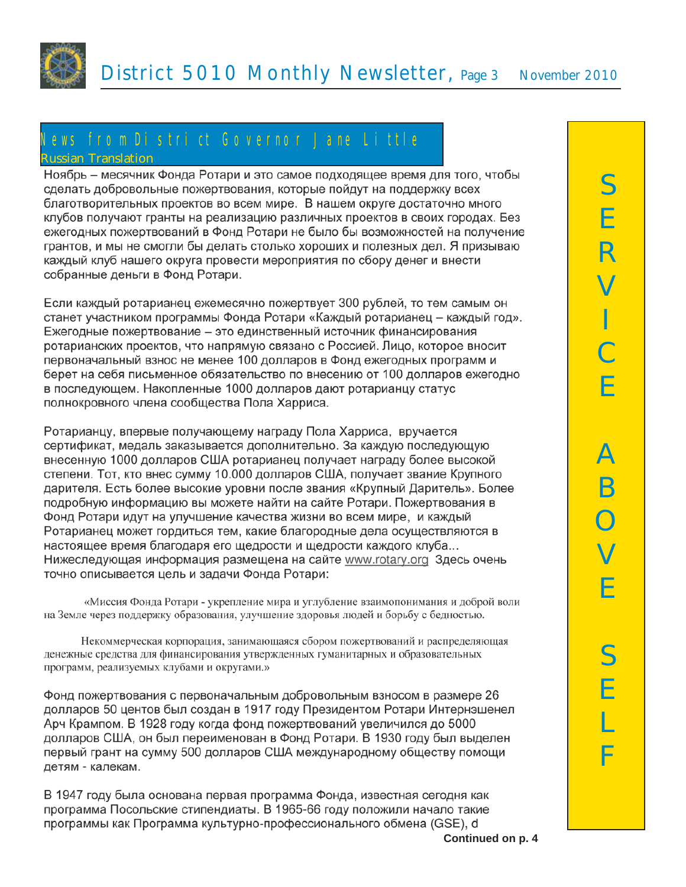

#### News fromDistrict Governor Jane Little **Russian Translation**

Ноябрь – месячник Фонда Ротари и это самое подходящее время для того, чтобы сделать добровольные пожертвования, которые пойдут на поддержку всех благотворительных проектов во всем мире. В нашем округе достаточно много клубов получают гранты на реализацию различных проектов в своих городах. Без ежегодных пожертвований в Фонд Ротари не было бы возможностей на получение грантов, и мы не смогли бы делать столько хороших и полезных дел. Я призываю каждый клуб нашего округа провести мероприятия по сбору денег и внести собранные деньги в Фонд Ротари.

Если каждый ротарианец ежемесячно пожертвует 300 рублей, то тем самым он станет участником программы Фонда Ротари «Каждый ротарианец – каждый год». Ежегодные пожертвование - это единственный источник финансирования ротарианских проектов, что напрямую связано с Россией. Лицо, которое вносит первоначальный взнос не менее 100 долларов в Фонд ежегодных программ и берет на себя письменное обязательство по внесению от 100 долларов ежегодно в последующем. Накопленные 1000 долларов дают ротарианцу статус полнокровного члена сообщества Пола Харриса.

Ротарианцу, впервые получающему награду Пола Харриса, вручается сертификат, медаль заказывается дополнительно. За каждую последующую внесенную 1000 долларов США ротарианец получает награду более высокой степени. Тот, кто внес сумму 10.000 долларов США, получает звание Крупного дарителя. Есть более высокие уровни после звания «Крупный Даритель». Более подробную информацию вы можете найти на сайте Ротари. Пожертвования в Фонд Ротари идут на улучшение качества жизни во всем мире, и каждый Ротарианец может гордиться тем, какие благородные дела осуществляются в настоящее время благодаря его щедрости и щедрости каждого клуба... Нижеследующая информация размещена на сайте www.rotary.org 3десь очень точно описывается цель и задачи Фонда Ротари:

«Миссия Фонда Ротари - укрепление мира и углубление взаимопонимания и доброй воли на Земле через поддержку образования, улучшение здоровья людей и борьбу с бедностью.

Некоммерческая корпорация, занимающаяся сбором пожертвований и распределяющая денежные средства для финансирования утвержденных гуманитарных и образовательных программ, реализуемых клубами и округами.»

Фонд пожертвования с первоначальным добровольным взносом в размере 26 долларов 50 центов был создан в 1917 году Президентом Ротари Интернэшенел Арч Крампом. В 1928 году когда фонд пожертвований увеличился до 5000 долларов США, он был переименован в Фонд Ротари. В 1930 году был выделен первый грант на сумму 500 долларов США международному обществу помощи детям - калекам.

В 1947 году была основана первая программа Фонда, известная сегодня как программа Посольские стипендиаты. В 1965-66 году положили начало такие программы как Программа культурно-профессионального обмена (GSE), d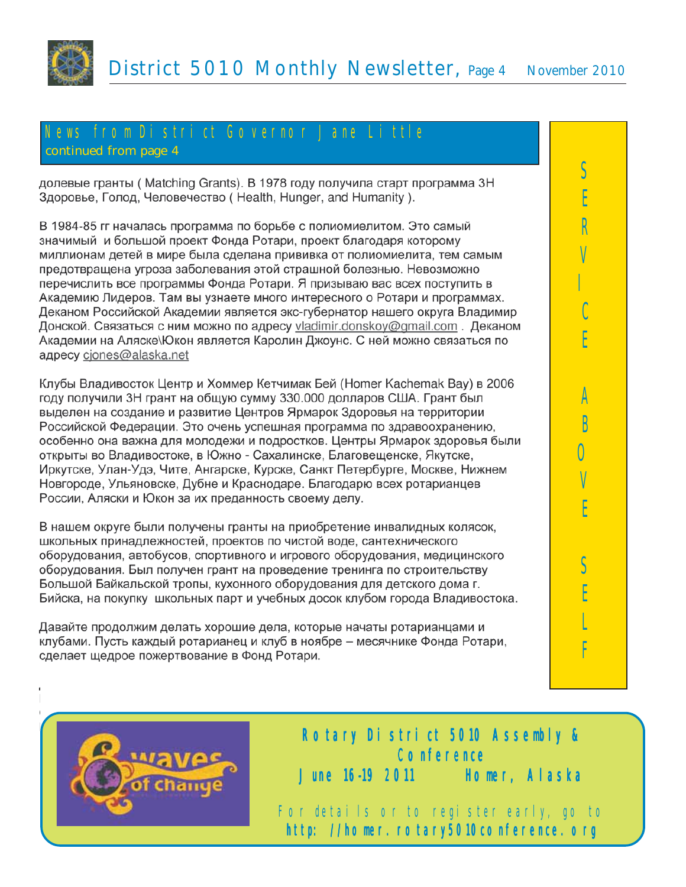

# News from District Governor Jane Little

**continued from page 4**

долевые гранты (Matching Grants). В 1978 году получила старт программа ЗН Здоровье, Голод, Человечество (Health, Hunger, and Humanity).

В 1984-85 гг началась программа по борьбе с полиомиелитом. Это самый значимый и большой проект Фонда Ротари, проект благодаря которому миллионам детей в мире была сделана прививка от полиомиелита, тем самым предотвращена угроза заболевания этой страшной болезнью. Невозможно перечислить все программы Фонда Ротари. Я призываю вас всех поступить в Академию Лидеров. Там вы узнаете много интересного о Ротари и программах. Деканом Российской Академии является экс-губернатор нашего округа Владимир Донской. Связаться с ним можно по адресу vladimir.donskoy@gmail.com. Деканом Академии на Аляске\Юкон является Каролин Джоунс. С ней можно связаться по aдресу cjones@alaska.net

Клубы Владивосток Центр и Хоммер Кетчимак Бей (Homer Kachemak Bay) в 2006 году получили 3Н грант на общую сумму 330.000 долларов США. Грант был выделен на создание и развитие Центров Ярмарок Здоровья на территории Российской Федерации. Это очень успешная программа по здравоохранению, особенно она важна для молодежи и подростков. Центры Ярмарок здоровья были открыты во Владивостоке, в Южно - Сахалинске, Благовещенске, Якутске, Иркутске, Улан-Удэ, Чите, Ангарске, Курске, Санкт Петербурге, Москве, Нижнем Новгороде, Ульяновске, Дубне и Краснодаре. Благодарю всех ротарианцев России, Аляски и Юкон за их преданность своему делу.

В нашем округе были получены гранты на приобретение инвалидных колясок, школьных принадлежностей, проектов по чистой воде, сантехнического оборудования, автобусов, спортивного и игрового оборудования, медицинского оборудования. Был получен грант на проведение тренинга по строительству Большой Байкальской тропы, кухонного оборудования для детского дома г. Бийска, на покупку школьных парт и учебных досок клубом города Владивостока.

Давайте продолжим делать хорошие дела, которые начаты ротарианцами и клубами. Пусть каждый ротарианец и клуб в ноябре - месячнике Фонда Ротари, сделает щедрое пожертвование в Фонд Ротари.





For details or to register early, go to http://homer.rotary5010con

Rotary District 5010 Assembly & **Conference** June 1619 2011 16 Homer, Alaska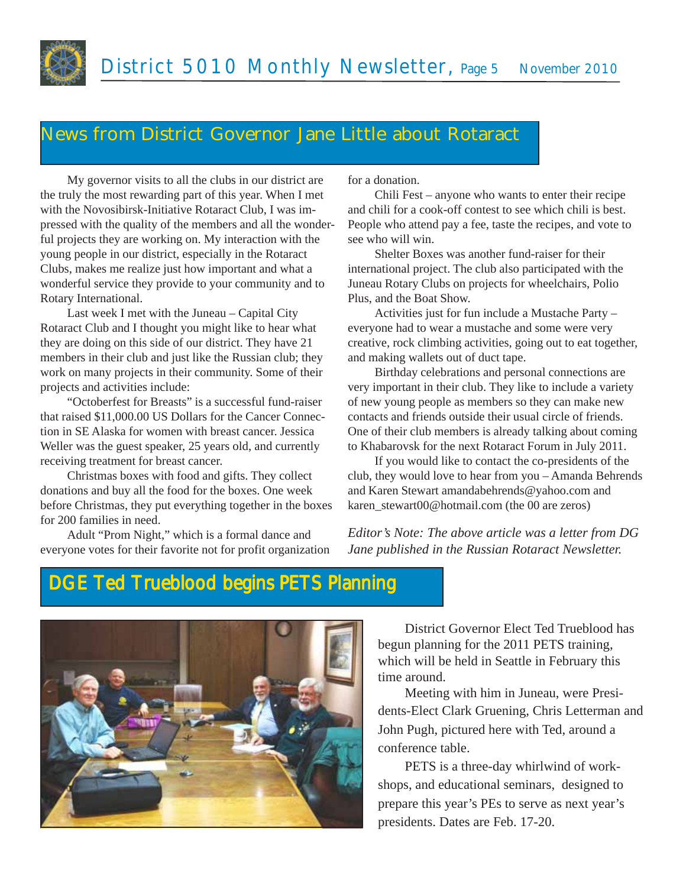

## **News from District Governor Jane Little about Rotaract**

My governor visits to all the clubs in our district are the truly the most rewarding part of this year. When I met with the Novosibirsk-Initiative Rotaract Club, I was impressed with the quality of the members and all the wonderful projects they are working on. My interaction with the young people in our district, especially in the Rotaract Clubs, makes me realize just how important and what a wonderful service they provide to your community and to Rotary International.

Last week I met with the Juneau – Capital City Rotaract Club and I thought you might like to hear what they are doing on this side of our district. They have 21 members in their club and just like the Russian club; they work on many projects in their community. Some of their projects and activities include:

"Octoberfest for Breasts" is a successful fund-raiser that raised \$11,000.00 US Dollars for the Cancer Connection in SE Alaska for women with breast cancer. Jessica Weller was the guest speaker, 25 years old, and currently receiving treatment for breast cancer.

Christmas boxes with food and gifts. They collect donations and buy all the food for the boxes. One week before Christmas, they put everything together in the boxes for 200 families in need.

Adult "Prom Night," which is a formal dance and everyone votes for their favorite not for profit organization for a donation.

Chili Fest – anyone who wants to enter their recipe and chili for a cook-off contest to see which chili is best. People who attend pay a fee, taste the recipes, and vote to see who will win.

Shelter Boxes was another fund-raiser for their international project. The club also participated with the Juneau Rotary Clubs on projects for wheelchairs, Polio Plus, and the Boat Show.

Activities just for fun include a Mustache Party – everyone had to wear a mustache and some were very creative, rock climbing activities, going out to eat together, and making wallets out of duct tape.

Birthday celebrations and personal connections are very important in their club. They like to include a variety of new young people as members so they can make new contacts and friends outside their usual circle of friends. One of their club members is already talking about coming to Khabarovsk for the next Rotaract Forum in July 2011.

If you would like to contact the co-presidents of the club, they would love to hear from you – Amanda Behrends and Karen Stewart amandabehrends@yahoo.com and karen\_stewart00@hotmail.com (the 00 are zeros)

*Editor's Note: The above article was a letter from DG Jane published in the Russian Rotaract Newsletter.*

# DGE Ted Trueblood begins PETS Planning



District Governor Elect Ted Trueblood has begun planning for the 2011 PETS training, which will be held in Seattle in February this time around.

Meeting with him in Juneau, were Presidents-Elect Clark Gruening, Chris Letterman and John Pugh, pictured here with Ted, around a conference table.

PETS is a three-day whirlwind of workshops, and educational seminars, designed to prepare this year's PEs to serve as next year's presidents. Dates are Feb. 17-20.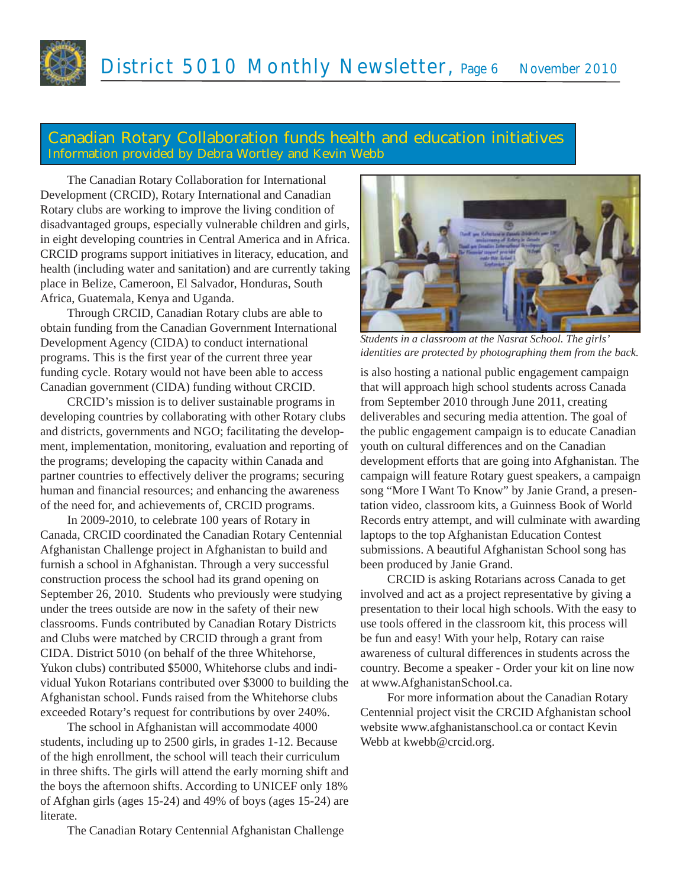

#### **Canadian Rotary Collaboration funds health and education initiatives Information provided by Debra Wortley and Kevin Webb**

The Canadian Rotary Collaboration for International Development (CRCID), Rotary International and Canadian Rotary clubs are working to improve the living condition of disadvantaged groups, especially vulnerable children and girls, in eight developing countries in Central America and in Africa. CRCID programs support initiatives in literacy, education, and health (including water and sanitation) and are currently taking place in Belize, Cameroon, El Salvador, Honduras, South Africa, Guatemala, Kenya and Uganda.

Through CRCID, Canadian Rotary clubs are able to obtain funding from the Canadian Government International Development Agency (CIDA) to conduct international programs. This is the first year of the current three year funding cycle. Rotary would not have been able to access Canadian government (CIDA) funding without CRCID.

CRCID's mission is to deliver sustainable programs in developing countries by collaborating with other Rotary clubs and districts, governments and NGO; facilitating the development, implementation, monitoring, evaluation and reporting of the programs; developing the capacity within Canada and partner countries to effectively deliver the programs; securing human and financial resources; and enhancing the awareness of the need for, and achievements of, CRCID programs.

In 2009-2010, to celebrate 100 years of Rotary in Canada, CRCID coordinated the Canadian Rotary Centennial Afghanistan Challenge project in Afghanistan to build and furnish a school in Afghanistan. Through a very successful construction process the school had its grand opening on September 26, 2010. Students who previously were studying under the trees outside are now in the safety of their new classrooms. Funds contributed by Canadian Rotary Districts and Clubs were matched by CRCID through a grant from CIDA. District 5010 (on behalf of the three Whitehorse, Yukon clubs) contributed \$5000, Whitehorse clubs and individual Yukon Rotarians contributed over \$3000 to building the Afghanistan school. Funds raised from the Whitehorse clubs exceeded Rotary's request for contributions by over 240%.

The school in Afghanistan will accommodate 4000 students, including up to 2500 girls, in grades 1-12. Because of the high enrollment, the school will teach their curriculum in three shifts. The girls will attend the early morning shift and the boys the afternoon shifts. According to UNICEF only 18% of Afghan girls (ages 15-24) and 49% of boys (ages 15-24) are literate.

The Canadian Rotary Centennial Afghanistan Challenge



*Students in a classroom at the Nasrat School. The girls' identities are protected by photographing them from the back.*

is also hosting a national public engagement campaign that will approach high school students across Canada from September 2010 through June 2011, creating deliverables and securing media attention. The goal of the public engagement campaign is to educate Canadian youth on cultural differences and on the Canadian development efforts that are going into Afghanistan. The campaign will feature Rotary guest speakers, a campaign song "More I Want To Know" by Janie Grand, a presentation video, classroom kits, a Guinness Book of World Records entry attempt, and will culminate with awarding laptops to the top Afghanistan Education Contest submissions. A beautiful Afghanistan School song has been produced by Janie Grand.

CRCID is asking Rotarians across Canada to get involved and act as a project representative by giving a presentation to their local high schools. With the easy to use tools offered in the classroom kit, this process will be fun and easy! With your help, Rotary can raise awareness of cultural differences in students across the country. Become a speaker - Order your kit on line now at www.AfghanistanSchool.ca.

For more information about the Canadian Rotary Centennial project visit the CRCID Afghanistan school website www.afghanistanschool.ca or contact Kevin Webb at kwebb@crcid.org.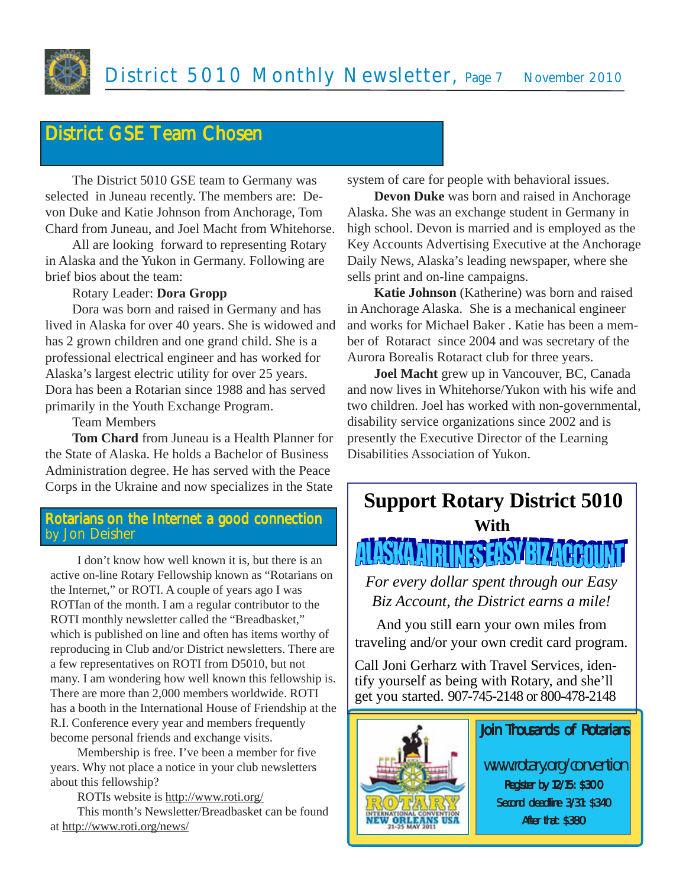# **District GSE Team Chosen**

The District 5010 GSE team to Germany was selected in Juneau recently. The members are: Devon Duke and Katie Johnson from Anchorage, Tom Chard from Juneau, and Joel Macht from Whitehorse.

All are looking forward to representing Rotary in Alaska and the Yukon in Germany. Following are brief bios about the team:

#### Rotary Leader: **Dora Gropp**

Dora was born and raised in Germany and has lived in Alaska for over 40 years. She is widowed and has 2 grown children and one grand child. She is a professional electrical engineer and has worked for Alaska's largest electric utility for over 25 years. Dora has been a Rotarian since 1988 and has served primarily in the Youth Exchange Program.

Team Members

**Tom Chard** from Juneau is a Health Planner for the State of Alaska. He holds a Bachelor of Business Administration degree. He has served with the Peace Corps in the Ukraine and now specializes in the State

#### Rotarians on the Internet a good connection by Jon Deisher

I don't know how well known it is, but there is an active on-line Rotary Fellowship known as "Rotarians on the Internet," or ROTI. A couple of years ago I was ROTIan of the month. I am a regular contributor to the ROTI monthly newsletter called the "Breadbasket," which is published on line and often has items worthy of reproducing in Club and/or District newsletters. There are a few representatives on ROTI from D5010, but not many. I am wondering how well known this fellowship is. There are more than 2,000 members worldwide. ROTI has a booth in the International House of Friendship at the R.I. Conference every year and members frequently become personal friends and exchange visits.

Membership is free. I've been a member for five years. Why not place a notice in your club newsletters about this fellowship?

ROTIs website is http://www.roti.org/

This month's Newsletter/Breadbasket can be found at http://www.roti.org/news/

system of care for people with behavioral issues.

**Devon Duke** was born and raised in Anchorage Alaska. She was an exchange student in Germany in high school. Devon is married and is employed as the Key Accounts Advertising Executive at the Anchorage Daily News, Alaska's leading newspaper, where she sells print and on-line campaigns.

**Katie Johnson** (Katherine) was born and raised in Anchorage Alaska. She is a mechanical engineer and works for Michael Baker . Katie has been a member of Rotaract since 2004 and was secretary of the Aurora Borealis Rotaract club for three years.

**Joel Macht** grew up in Vancouver, BC, Canada and now lives in Whitehorse/Yukon with his wife and two children. Joel has worked with non-governmental, disability service organizations since 2002 and is presently the Executive Director of the Learning Disabilities Association of Yukon.



*For every dollar spent through our Easy Biz Account, the District earns a mile!*

And you still earn your own miles from traveling and/or your own credit card program.

Call Joni Gerharz with Travel Services, identify yourself as being with Rotary, and she'll get you started. 907-745-2148 or 800-478-2148

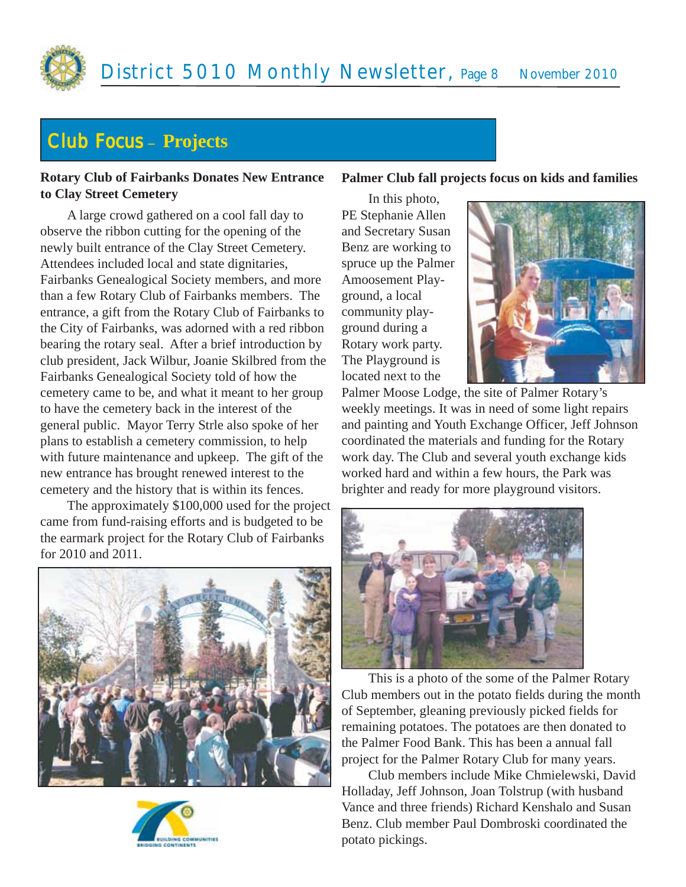

# Club Focus **– Projects**

#### **Rotary Club of Fairbanks Donates New Entrance to Clay Street Cemetery**

A large crowd gathered on a cool fall day to observe the ribbon cutting for the opening of the newly built entrance of the Clay Street Cemetery. Attendees included local and state dignitaries, Fairbanks Genealogical Society members, and more than a few Rotary Club of Fairbanks members. The entrance, a gift from the Rotary Club of Fairbanks to the City of Fairbanks, was adorned with a red ribbon bearing the rotary seal. After a brief introduction by club president, Jack Wilbur, Joanie Skilbred from the Fairbanks Genealogical Society told of how the cemetery came to be, and what it meant to her group to have the cemetery back in the interest of the general public. Mayor Terry Strle also spoke of her plans to establish a cemetery commission, to help with future maintenance and upkeep. The gift of the new entrance has brought renewed interest to the cemetery and the history that is within its fences.

The approximately \$100,000 used for the project came from fund-raising efforts and is budgeted to be the earmark project for the Rotary Club of Fairbanks for 2010 and 2011.





#### **Palmer Club fall projects focus on kids and families**

In this photo, PE Stephanie Allen and Secretary Susan Benz are working to spruce up the Palmer Amoosement Playground, a local community playground during a Rotary work party. The Playground is located next to the



Palmer Moose Lodge, the site of Palmer Rotary's weekly meetings. It was in need of some light repairs and painting and Youth Exchange Officer, Jeff Johnson coordinated the materials and funding for the Rotary work day. The Club and several youth exchange kids worked hard and within a few hours, the Park was brighter and ready for more playground visitors.



This is a photo of the some of the Palmer Rotary Club members out in the potato fields during the month of September, gleaning previously picked fields for remaining potatoes. The potatoes are then donated to the Palmer Food Bank. This has been a annual fall project for the Palmer Rotary Club for many years.

Club members include Mike Chmielewski, David Holladay, Jeff Johnson, Joan Tolstrup (with husband Vance and three friends) Richard Kenshalo and Susan Benz. Club member Paul Dombroski coordinated the potato pickings.